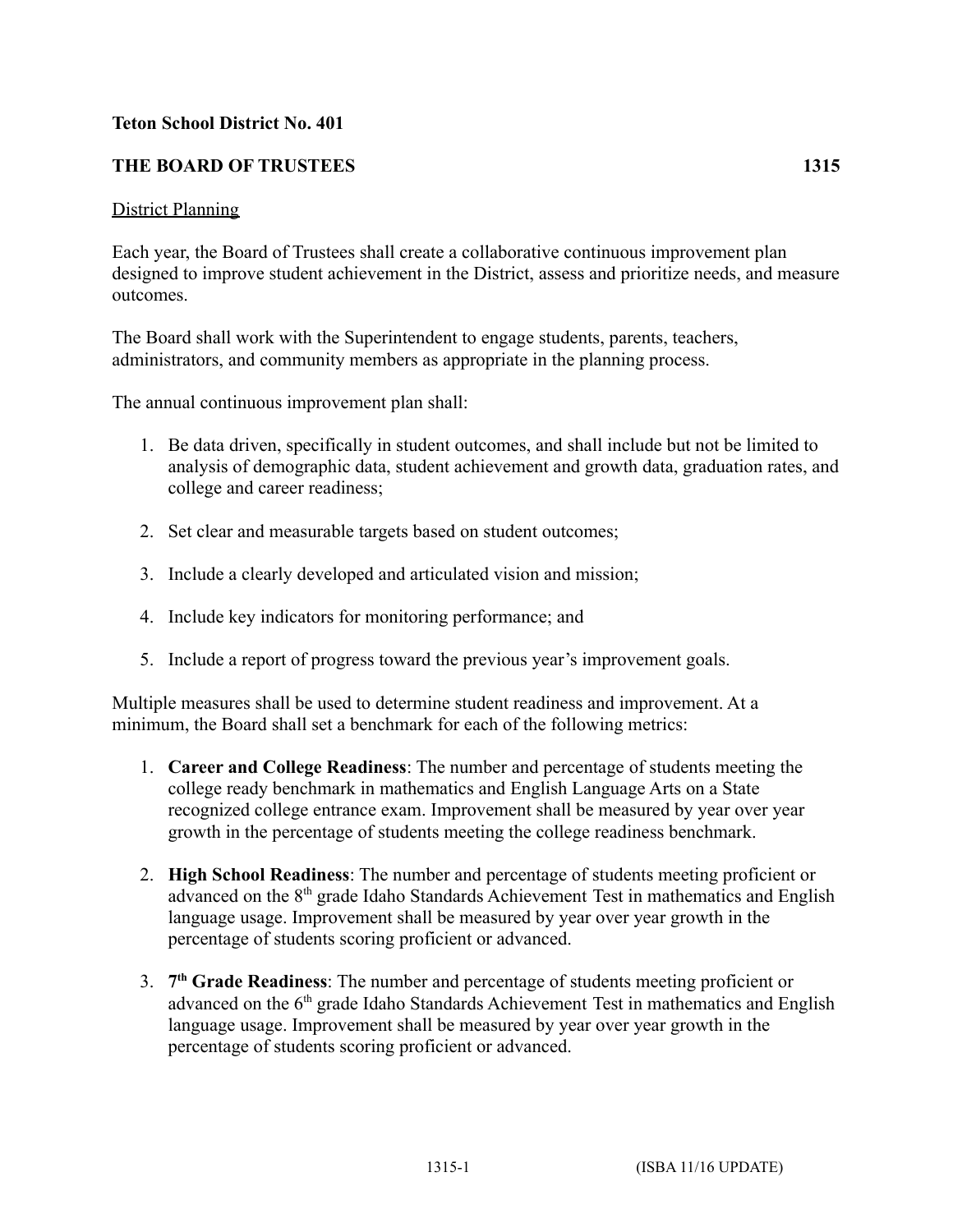## **Teton School District No. 401**

## **THE BOARD OF TRUSTEES 1315**

## District Planning

Each year, the Board of Trustees shall create a collaborative continuous improvement plan designed to improve student achievement in the District, assess and prioritize needs, and measure outcomes.

The Board shall work with the Superintendent to engage students, parents, teachers, administrators, and community members as appropriate in the planning process.

The annual continuous improvement plan shall:

- 1. Be data driven, specifically in student outcomes, and shall include but not be limited to analysis of demographic data, student achievement and growth data, graduation rates, and college and career readiness;
- 2. Set clear and measurable targets based on student outcomes;
- 3. Include a clearly developed and articulated vision and mission;
- 4. Include key indicators for monitoring performance; and
- 5. Include a report of progress toward the previous year's improvement goals.

Multiple measures shall be used to determine student readiness and improvement. At a minimum, the Board shall set a benchmark for each of the following metrics:

- 1. **Career and College Readiness**: The number and percentage of students meeting the college ready benchmark in mathematics and English Language Arts on a State recognized college entrance exam. Improvement shall be measured by year over year growth in the percentage of students meeting the college readiness benchmark.
- 2. **High School Readiness**: The number and percentage of students meeting proficient or advanced on the 8<sup>th</sup> grade Idaho Standards Achievement Test in mathematics and English language usage. Improvement shall be measured by year over year growth in the percentage of students scoring proficient or advanced.
- 3. **7 th Grade Readiness**: The number and percentage of students meeting proficient or advanced on the  $6<sup>th</sup>$  grade Idaho Standards Achievement Test in mathematics and English language usage. Improvement shall be measured by year over year growth in the percentage of students scoring proficient or advanced.